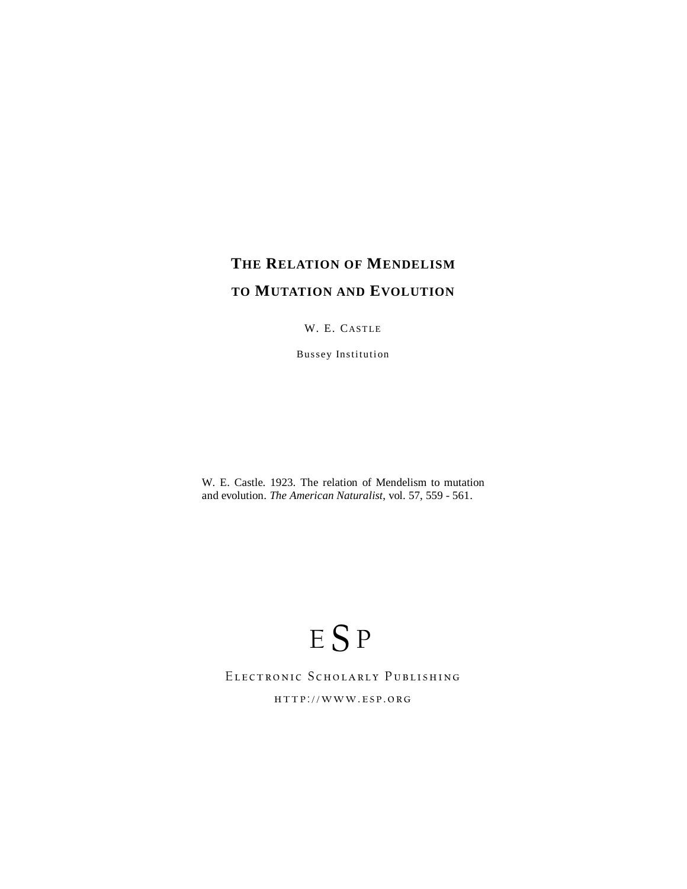# **THE RELATION OF MENDELISM TO MUTATION AND EVOLUTION**

W. E. CASTLE

Bussey Institution

W. E. Castle. 1923. The relation of Mendelism to mutation and evolution. *The American Naturalist*, vol. 57, 559 - 561.

# ESP

## Electronic Scholarly Publishing

http://www.esp.org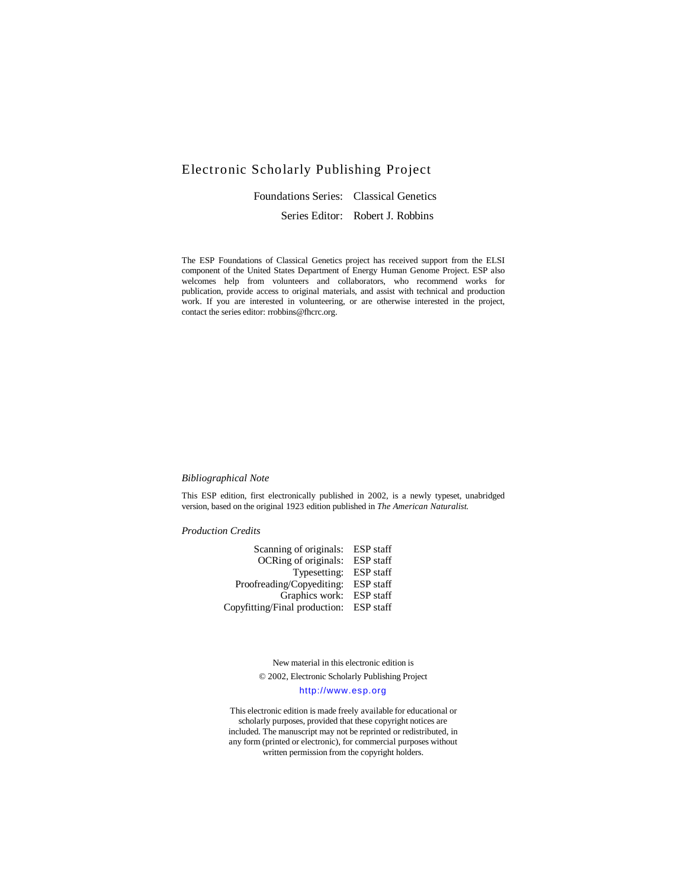### Electronic Scholarly Publishing Project

 Foundations Series: Classical Genetics Series Editor: Robert J. Robbins

The ESP Foundations of Classical Genetics project has received support from the ELSI component of the United States Department of Energy Human Genome Project. ESP also welcomes help from volunteers and collaborators, who recommend works for publication, provide access to original materials, and assist with technical and production work. If you are interested in volunteering, or are otherwise interested in the project, contact the series editor: rrobbins@fhcrc.org.

#### *Bibliographical Note*

This ESP edition, first electronically published in 2002, is a newly typeset, unabridged version, based on the original 1923 edition published in *The American Naturalist*.

*Production Credits* 

| Scanning of originals: ESP staff        |  |
|-----------------------------------------|--|
| OCRing of originals: ESP staff          |  |
| Typesetting: ESP staff                  |  |
| Proofreading/Copyediting: ESP staff     |  |
| Graphics work: ESP staff                |  |
| Copyfitting/Final production: ESP staff |  |
|                                         |  |

New material in this electronic edition is © 2002, Electronic Scholarly Publishing Project http://www.esp.org

This electronic edition is made freely available for educational or scholarly purposes, provided that these copyright notices are included. The manuscript may not be reprinted or redistributed, in any form (printed or electronic), for commercial purposes without written permission from the copyright holders.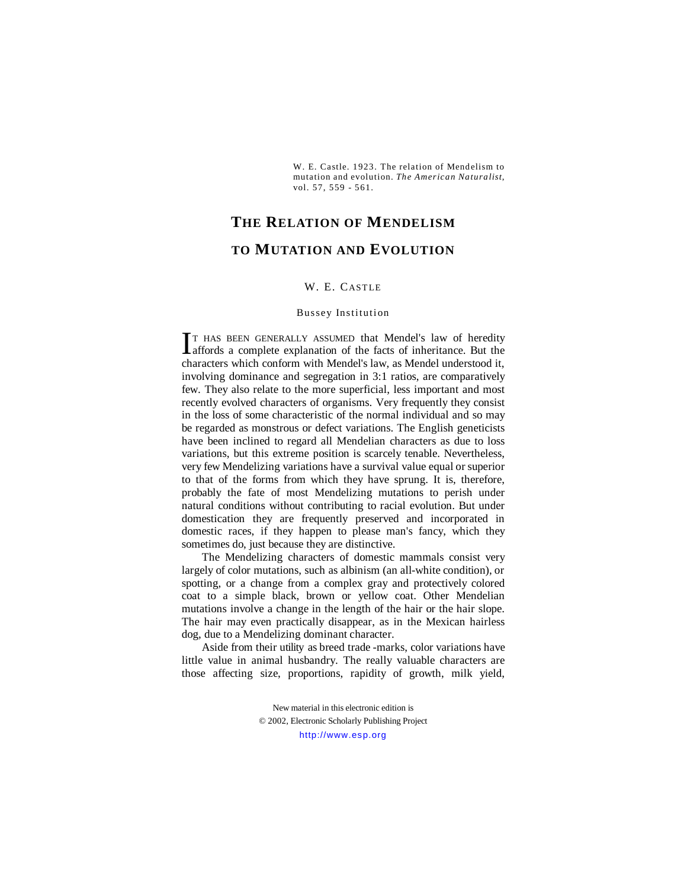W. E. Castle. 1923. The relation of Mendelism to mutation and evolution. *The American Naturalist*, vol. 57, 559 - 561.

# **THE RELATION OF MENDELISM TO MUTATION AND EVOLUTION**

#### W. E. CASTLE

#### Bussey Institution

T HAS BEEN GENERALLY ASSUMED that Mendel's law of heredity IT HAS BEEN GENERALLY ASSUMED that Mendel's law of heredity affords a complete explanation of the facts of inheritance. But the characters which conform with Mendel's law, as Mendel understood it, involving dominance and segregation in 3:1 ratios, are comparatively few. They also relate to the more superficial, less important and most recently evolved characters of organisms. Very frequently they consist in the loss of some characteristic of the normal individual and so may be regarded as monstrous or defect variations. The English geneticists have been inclined to regard all Mendelian characters as due to loss variations, but this extreme position is scarcely tenable. Nevertheless, very few Mendelizing variations have a survival value equal or superior to that of the forms from which they have sprung. It is, therefore, probably the fate of most Mendelizing mutations to perish under natural conditions without contributing to racial evolution. But under domestication they are frequently preserved and incorporated in domestic races, if they happen to please man's fancy, which they sometimes do, just because they are distinctive.

 The Mendelizing characters of domestic mammals consist very largely of color mutations, such as albinism (an all-white condition), or spotting, or a change from a complex gray and protectively colored coat to a simple black, brown or yellow coat. Other Mendelian mutations involve a change in the length of the hair or the hair slope. The hair may even practically disappear, as in the Mexican hairless dog, due to a Mendelizing dominant character.

 Aside from their utility as breed trade -marks, color variations have little value in animal husbandry. The really valuable characters are those affecting size, proportions, rapidity of growth, milk yield,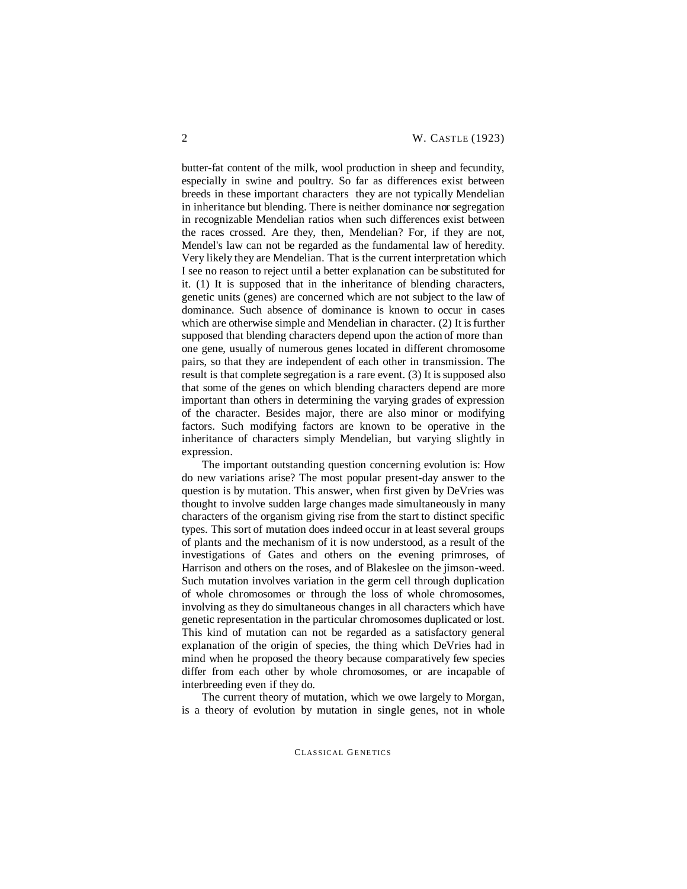butter-fat content of the milk, wool production in sheep and fecundity, especially in swine and poultry. So far as differences exist between breeds in these important characters they are not typically Mendelian in inheritance but blending. There is neither dominance nor segregation in recognizable Mendelian ratios when such differences exist between the races crossed. Are they, then, Mendelian? For, if they are not, Mendel's law can not be regarded as the fundamental law of heredity. Very likely they are Mendelian. That is the current interpretation which I see no reason to reject until a better explanation can be substituted for it. (1) It is supposed that in the inheritance of blending characters, genetic units (genes) are concerned which are not subject to the law of dominance. Such absence of dominance is known to occur in cases which are otherwise simple and Mendelian in character. (2) It is further supposed that blending characters depend upon the action of more than one gene, usually of numerous genes located in different chromosome pairs, so that they are independent of each other in transmission. The result is that complete segregation is a rare event. (3) It is supposed also that some of the genes on which blending characters depend are more important than others in determining the varying grades of expression of the character. Besides major, there are also minor or modifying factors. Such modifying factors are known to be operative in the inheritance of characters simply Mendelian, but varying slightly in expression.

The important outstanding question concerning evolution is: How do new variations arise? The most popular present-day answer to the question is by mutation. This answer, when first given by DeVries was thought to involve sudden large changes made simultaneously in many characters of the organism giving rise from the start to distinct specific types. This sort of mutation does indeed occur in at least several groups of plants and the mechanism of it is now understood, as a result of the investigations of Gates and others on the evening primroses, of Harrison and others on the roses, and of Blakeslee on the jimson-weed. Such mutation involves variation in the germ cell through duplication of whole chromosomes or through the loss of whole chromosomes, involving as they do simultaneous changes in all characters which have genetic representation in the particular chromosomes duplicated or lost. This kind of mutation can not be regarded as a satisfactory general explanation of the origin of species, the thing which DeVries had in mind when he proposed the theory because comparatively few species differ from each other by whole chromosomes, or are incapable of interbreeding even if they do.

 The current theory of mutation, which we owe largely to Morgan, is a theory of evolution by mutation in single genes, not in whole